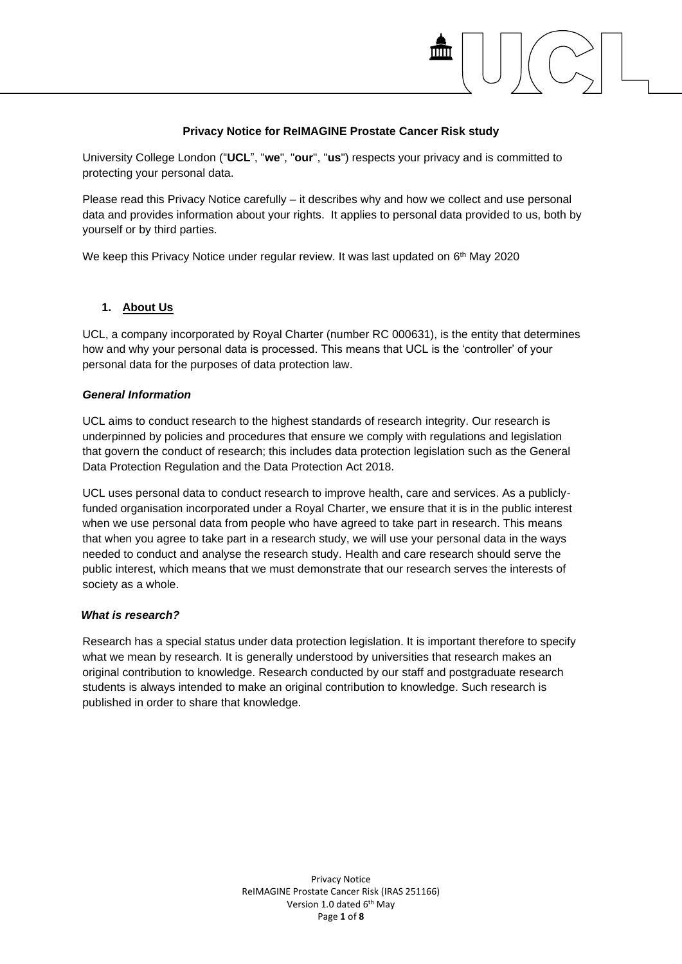## **Privacy Notice for ReIMAGINE Prostate Cancer Risk study**

University College London ("**UCL**", "**we**", "**our**", "**us**") respects your privacy and is committed to protecting your personal data.

Please read this Privacy Notice carefully – it describes why and how we collect and use personal data and provides information about your rights. It applies to personal data provided to us, both by yourself or by third parties.

We keep this Privacy Notice under regular review. It was last updated on 6<sup>th</sup> May 2020

## **1. About Us**

UCL, a company incorporated by Royal Charter (number RC 000631), is the entity that determines how and why your personal data is processed. This means that UCL is the 'controller' of your personal data for the purposes of data protection law.

#### *General Information*

UCL aims to conduct research to the highest standards of research integrity. Our research is underpinned by policies and procedures that ensure we comply with regulations and legislation that govern the conduct of research; this includes data protection legislation such as the General Data Protection Regulation and the Data Protection Act 2018.

UCL uses personal data to conduct research to improve health, care and services. As a publiclyfunded organisation incorporated under a Royal Charter, we ensure that it is in the public interest when we use personal data from people who have agreed to take part in research. This means that when you agree to take part in a research study, we will use your personal data in the ways needed to conduct and analyse the research study. Health and care research should serve the public interest, which means that we must demonstrate that our research serves the interests of society as a whole.

## *What is research?*

Research has a special status under data protection legislation. It is important therefore to specify what we mean by research. It is generally understood by universities that research makes an original contribution to knowledge. Research conducted by our staff and postgraduate research students is always intended to make an original contribution to knowledge. Such research is published in order to share that knowledge.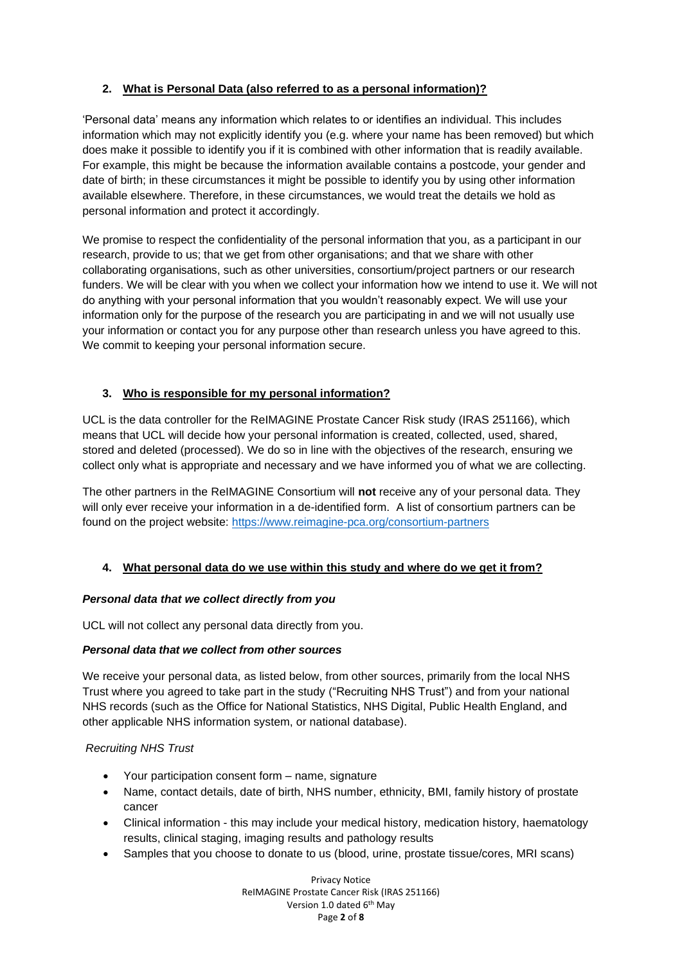# **2. What is Personal Data (also referred to as a personal information)?**

'Personal data' means any information which relates to or identifies an individual. This includes information which may not explicitly identify you (e.g. where your name has been removed) but which does make it possible to identify you if it is combined with other information that is readily available. For example, this might be because the information available contains a postcode, your gender and date of birth; in these circumstances it might be possible to identify you by using other information available elsewhere. Therefore, in these circumstances, we would treat the details we hold as personal information and protect it accordingly.

We promise to respect the confidentiality of the personal information that you, as a participant in our research, provide to us; that we get from other organisations; and that we share with other collaborating organisations, such as other universities, consortium/project partners or our research funders. We will be clear with you when we collect your information how we intend to use it. We will not do anything with your personal information that you wouldn't reasonably expect. We will use your information only for the purpose of the research you are participating in and we will not usually use your information or contact you for any purpose other than research unless you have agreed to this. We commit to keeping your personal information secure.

# **3. Who is responsible for my personal information?**

UCL is the data controller for the ReIMAGINE Prostate Cancer Risk study (IRAS 251166), which means that UCL will decide how your personal information is created, collected, used, shared, stored and deleted (processed). We do so in line with the objectives of the research, ensuring we collect only what is appropriate and necessary and we have informed you of what we are collecting.

The other partners in the ReIMAGINE Consortium will **not** receive any of your personal data. They will only ever receive your information in a de-identified form. A list of consortium partners can be found on the project website:<https://www.reimagine-pca.org/consortium-partners>

# **4. What personal data do we use within this study and where do we get it from?**

## *Personal data that we collect directly from you*

UCL will not collect any personal data directly from you.

## *Personal data that we collect from other sources*

We receive your personal data, as listed below, from other sources, primarily from the local NHS Trust where you agreed to take part in the study ("Recruiting NHS Trust") and from your national NHS records (such as the Office for National Statistics, NHS Digital, Public Health England, and other applicable NHS information system, or national database).

## *Recruiting NHS Trust*

- Your participation consent form name, signature
- Name, contact details, date of birth, NHS number, ethnicity, BMI, family history of prostate cancer
- Clinical information this may include your medical history, medication history, haematology results, clinical staging, imaging results and pathology results
- Samples that you choose to donate to us (blood, urine, prostate tissue/cores, MRI scans)

Privacy Notice ReIMAGINE Prostate Cancer Risk (IRAS 251166) Version 1.0 dated 6<sup>th</sup> May Page **2** of **8**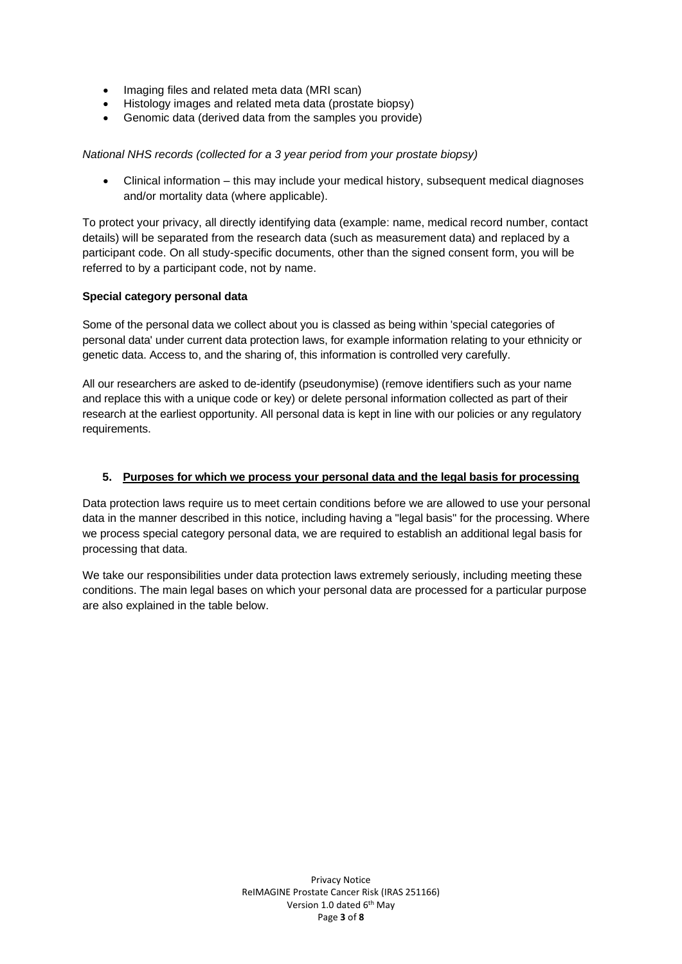- Imaging files and related meta data (MRI scan)
- Histology images and related meta data (prostate biopsy)
- Genomic data (derived data from the samples you provide)

#### *National NHS records (collected for a 3 year period from your prostate biopsy)*

• Clinical information – this may include your medical history, subsequent medical diagnoses and/or mortality data (where applicable).

To protect your privacy, all directly identifying data (example: name, medical record number, contact details) will be separated from the research data (such as measurement data) and replaced by a participant code. On all study-specific documents, other than the signed consent form, you will be referred to by a participant code, not by name.

## **Special category personal data**

Some of the personal data we collect about you is classed as being within 'special categories of personal data' under current data protection laws, for example information relating to your ethnicity or genetic data. Access to, and the sharing of, this information is controlled very carefully.

All our researchers are asked to de-identify (pseudonymise) (remove identifiers such as your name and replace this with a unique code or key) or delete personal information collected as part of their research at the earliest opportunity. All personal data is kept in line with our policies or any regulatory requirements.

#### **5. Purposes for which we process your personal data and the legal basis for processing**

Data protection laws require us to meet certain conditions before we are allowed to use your personal data in the manner described in this notice, including having a "legal basis" for the processing. Where we process special category personal data, we are required to establish an additional legal basis for processing that data.

We take our responsibilities under data protection laws extremely seriously, including meeting these conditions. The main legal bases on which your personal data are processed for a particular purpose are also explained in the table below.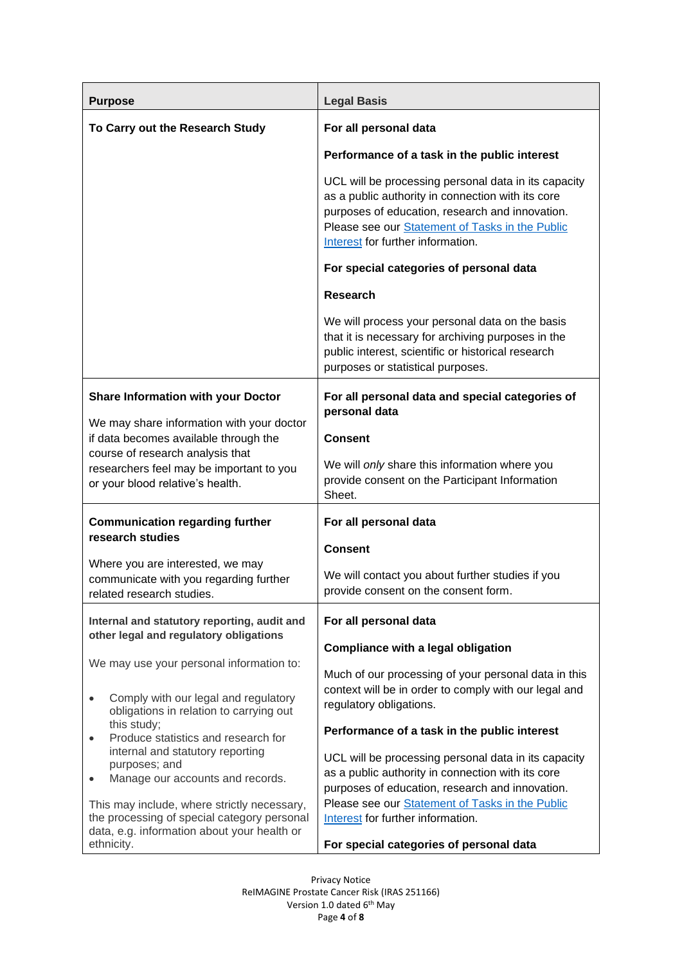| <b>Purpose</b>                                                                                                                                                                                                                                      | <b>Legal Basis</b>                                                                                                                                                                                                                                   |
|-----------------------------------------------------------------------------------------------------------------------------------------------------------------------------------------------------------------------------------------------------|------------------------------------------------------------------------------------------------------------------------------------------------------------------------------------------------------------------------------------------------------|
| To Carry out the Research Study                                                                                                                                                                                                                     | For all personal data                                                                                                                                                                                                                                |
|                                                                                                                                                                                                                                                     | Performance of a task in the public interest                                                                                                                                                                                                         |
|                                                                                                                                                                                                                                                     | UCL will be processing personal data in its capacity<br>as a public authority in connection with its core<br>purposes of education, research and innovation.<br>Please see our Statement of Tasks in the Public<br>Interest for further information. |
|                                                                                                                                                                                                                                                     | For special categories of personal data                                                                                                                                                                                                              |
|                                                                                                                                                                                                                                                     | <b>Research</b>                                                                                                                                                                                                                                      |
|                                                                                                                                                                                                                                                     | We will process your personal data on the basis<br>that it is necessary for archiving purposes in the<br>public interest, scientific or historical research<br>purposes or statistical purposes.                                                     |
| <b>Share Information with your Doctor</b><br>We may share information with your doctor<br>if data becomes available through the<br>course of research analysis that<br>researchers feel may be important to you<br>or your blood relative's health. | For all personal data and special categories of<br>personal data                                                                                                                                                                                     |
|                                                                                                                                                                                                                                                     | <b>Consent</b>                                                                                                                                                                                                                                       |
|                                                                                                                                                                                                                                                     | We will only share this information where you<br>provide consent on the Participant Information<br>Sheet.                                                                                                                                            |
| <b>Communication regarding further</b><br>research studies                                                                                                                                                                                          | For all personal data                                                                                                                                                                                                                                |
|                                                                                                                                                                                                                                                     | <b>Consent</b>                                                                                                                                                                                                                                       |
| Where you are interested, we may<br>communicate with you regarding further<br>related research studies.                                                                                                                                             | We will contact you about further studies if you<br>provide consent on the consent form.                                                                                                                                                             |
| Internal and statutory reporting, audit and<br>other legal and regulatory obligations<br>We may use your personal information to:<br>Comply with our legal and regulatory<br>$\bullet$<br>obligations in relation to carrying out                   | For all personal data                                                                                                                                                                                                                                |
|                                                                                                                                                                                                                                                     | <b>Compliance with a legal obligation</b>                                                                                                                                                                                                            |
|                                                                                                                                                                                                                                                     | Much of our processing of your personal data in this<br>context will be in order to comply with our legal and<br>regulatory obligations.                                                                                                             |
| this study;<br>Produce statistics and research for<br>$\bullet$                                                                                                                                                                                     | Performance of a task in the public interest                                                                                                                                                                                                         |
| internal and statutory reporting<br>purposes; and<br>Manage our accounts and records.<br>$\bullet$                                                                                                                                                  | UCL will be processing personal data in its capacity<br>as a public authority in connection with its core<br>purposes of education, research and innovation.                                                                                         |
| This may include, where strictly necessary,<br>the processing of special category personal<br>data, e.g. information about your health or                                                                                                           | Please see our Statement of Tasks in the Public<br>Interest for further information.                                                                                                                                                                 |
| ethnicity.                                                                                                                                                                                                                                          | For special categories of personal data                                                                                                                                                                                                              |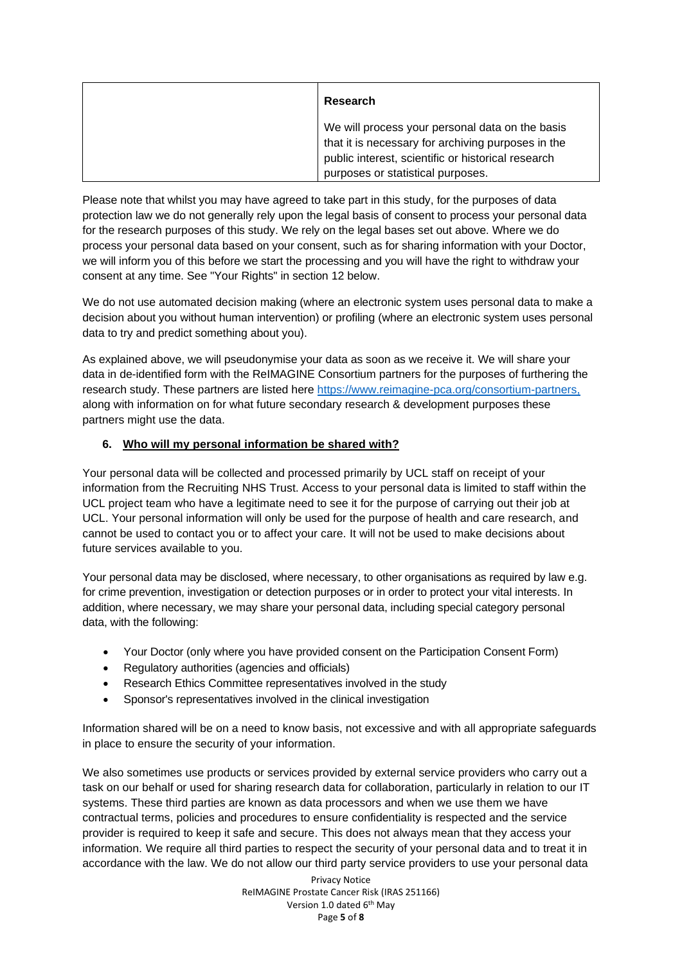| Research                                                                                                                                                    |
|-------------------------------------------------------------------------------------------------------------------------------------------------------------|
| We will process your personal data on the basis<br>that it is necessary for archiving purposes in the<br>public interest, scientific or historical research |
| purposes or statistical purposes.                                                                                                                           |

Please note that whilst you may have agreed to take part in this study, for the purposes of data protection law we do not generally rely upon the legal basis of consent to process your personal data for the research purposes of this study. We rely on the legal bases set out above. Where we do process your personal data based on your consent, such as for sharing information with your Doctor, we will inform you of this before we start the processing and you will have the right to withdraw your consent at any time. See "Your Rights" in section 12 below.

We do not use automated decision making (where an electronic system uses personal data to make a decision about you without human intervention) or profiling (where an electronic system uses personal data to try and predict something about you).

As explained above, we will pseudonymise your data as soon as we receive it. We will share your data in de-identified form with the ReIMAGINE Consortium partners for the purposes of furthering the research study. These partners are listed here [https://www.reimagine-pca.org/consortium-partners,](https://www.reimagine-pca.org/consortium-partners) along with information on for what future secondary research & development purposes these partners might use the data.

## **6. Who will my personal information be shared with?**

Your personal data will be collected and processed primarily by UCL staff on receipt of your information from the Recruiting NHS Trust. Access to your personal data is limited to staff within the UCL project team who have a legitimate need to see it for the purpose of carrying out their job at UCL. Your personal information will only be used for the purpose of health and care research, and cannot be used to contact you or to affect your care. It will not be used to make decisions about future services available to you.

Your personal data may be disclosed, where necessary, to other organisations as required by law e.g. for crime prevention, investigation or detection purposes or in order to protect your vital interests. In addition, where necessary, we may share your personal data, including special category personal data, with the following:

- Your Doctor (only where you have provided consent on the Participation Consent Form)
- Regulatory authorities (agencies and officials)
- Research Ethics Committee representatives involved in the study
- Sponsor's representatives involved in the clinical investigation

Information shared will be on a need to know basis, not excessive and with all appropriate safeguards in place to ensure the security of your information.

We also sometimes use products or services provided by external service providers who carry out a task on our behalf or used for sharing research data for collaboration, particularly in relation to our IT systems. These third parties are known as data processors and when we use them we have contractual terms, policies and procedures to ensure confidentiality is respected and the service provider is required to keep it safe and secure. This does not always mean that they access your information. We require all third parties to respect the security of your personal data and to treat it in accordance with the law. We do not allow our third party service providers to use your personal data

> Privacy Notice ReIMAGINE Prostate Cancer Risk (IRAS 251166) Version 1.0 dated 6<sup>th</sup> May Page **5** of **8**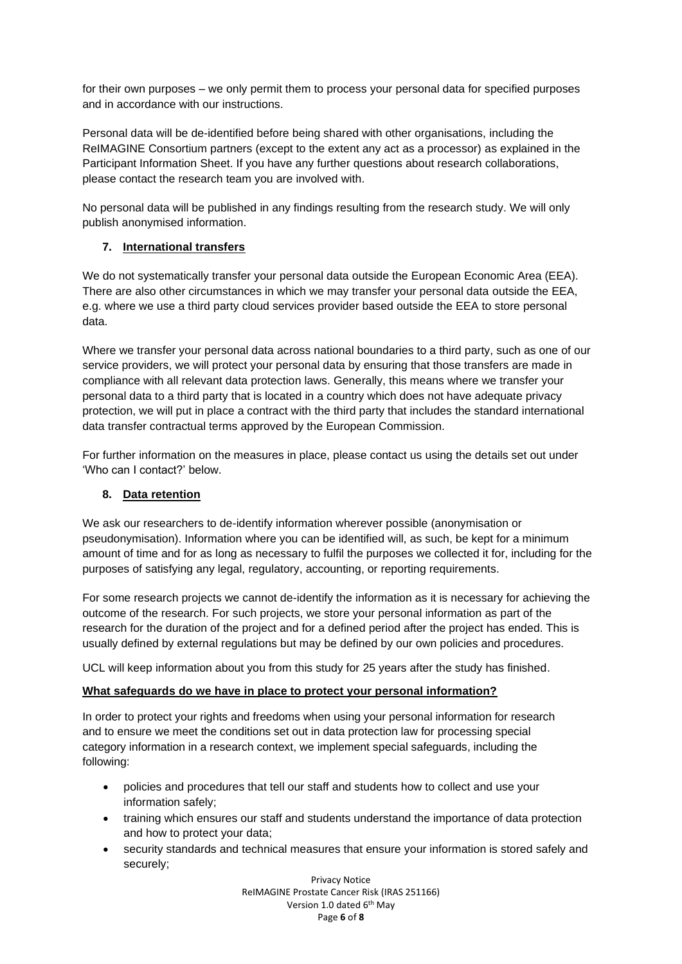for their own purposes – we only permit them to process your personal data for specified purposes and in accordance with our instructions.

Personal data will be de-identified before being shared with other organisations, including the ReIMAGINE Consortium partners (except to the extent any act as a processor) as explained in the Participant Information Sheet. If you have any further questions about research collaborations, please contact the research team you are involved with.

No personal data will be published in any findings resulting from the research study. We will only publish anonymised information.

# **7. International transfers**

We do not systematically transfer your personal data outside the European Economic Area (EEA). There are also other circumstances in which we may transfer your personal data outside the EEA, e.g. where we use a third party cloud services provider based outside the EEA to store personal data.

Where we transfer your personal data across national boundaries to a third party, such as one of our service providers, we will protect your personal data by ensuring that those transfers are made in compliance with all relevant data protection laws. Generally, this means where we transfer your personal data to a third party that is located in a country which does not have adequate privacy protection, we will put in place a contract with the third party that includes the standard international data transfer contractual terms approved by the European Commission.

For further information on the measures in place, please contact us using the details set out under 'Who can I contact?' below.

# **8. Data retention**

We ask our researchers to de-identify information wherever possible (anonymisation or pseudonymisation). Information where you can be identified will, as such, be kept for a minimum amount of time and for as long as necessary to fulfil the purposes we collected it for, including for the purposes of satisfying any legal, regulatory, accounting, or reporting requirements.

For some research projects we cannot de-identify the information as it is necessary for achieving the outcome of the research. For such projects, we store your personal information as part of the research for the duration of the project and for a defined period after the project has ended. This is usually defined by external regulations but may be defined by our own policies and procedures.

UCL will keep information about you from this study for 25 years after the study has finished.

# **What safeguards do we have in place to protect your personal information?**

In order to protect your rights and freedoms when using your personal information for research and to ensure we meet the conditions set out in data protection law for processing special category information in a research context, we implement special safeguards, including the following:

- policies and procedures that tell our staff and students how to collect and use your information safely;
- training which ensures our staff and students understand the importance of data protection and how to protect your data;
- security standards and technical measures that ensure your information is stored safely and securely;

Privacy Notice ReIMAGINE Prostate Cancer Risk (IRAS 251166) Version 1.0 dated 6<sup>th</sup> May Page **6** of **8**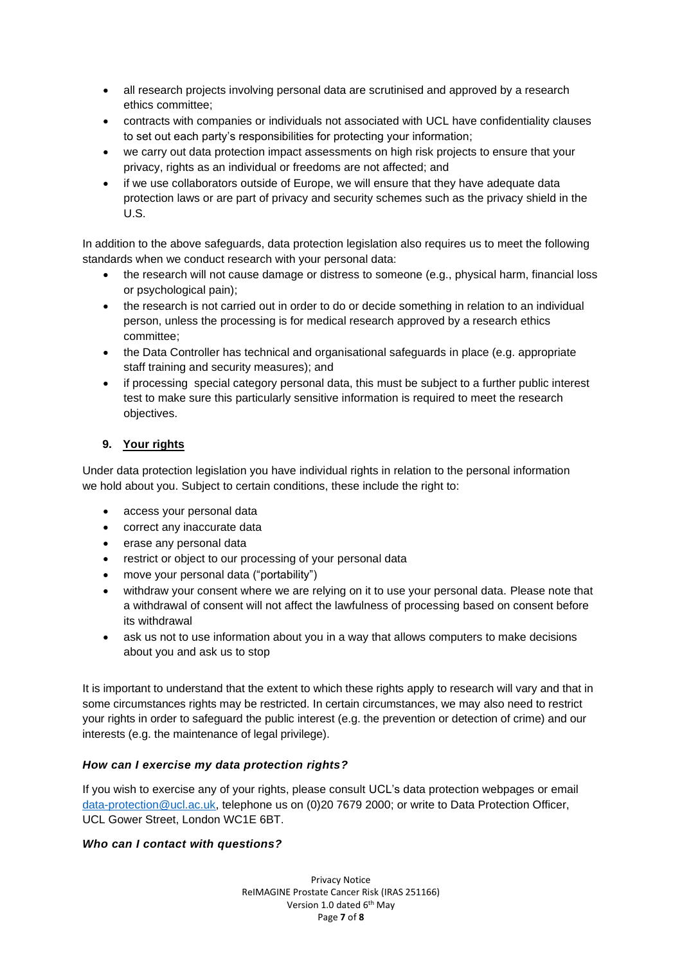- all research projects involving personal data are scrutinised and approved by a research ethics committee;
- contracts with companies or individuals not associated with UCL have confidentiality clauses to set out each party's responsibilities for protecting your information;
- we carry out data protection impact assessments on high risk projects to ensure that your privacy, rights as an individual or freedoms are not affected; and
- if we use collaborators outside of Europe, we will ensure that they have adequate data protection laws or are part of privacy and security schemes such as the privacy shield in the U.S.

In addition to the above safeguards, data protection legislation also requires us to meet the following standards when we conduct research with your personal data:

- the research will not cause damage or distress to someone (e.g., physical harm, financial loss or psychological pain);
- the research is not carried out in order to do or decide something in relation to an individual person, unless the processing is for medical research approved by a research ethics committee;
- the Data Controller has technical and organisational safeguards in place (e.g. appropriate staff training and security measures); and
- if processing special category personal data, this must be subject to a further public interest test to make sure this particularly sensitive information is required to meet the research objectives.

# **9. Your rights**

Under data protection legislation you have individual rights in relation to the personal information we hold about you. Subject to certain conditions, these include the right to:

- access your personal data
- correct any inaccurate data
- erase any personal data
- restrict or object to our processing of your personal data
- move your personal data ("portability")
- withdraw your consent where we are relying on it to use your personal data. Please note that a withdrawal of consent will not affect the lawfulness of processing based on consent before its withdrawal
- ask us not to use information about you in a way that allows computers to make decisions about you and ask us to stop

It is important to understand that the extent to which these rights apply to research will vary and that in some circumstances rights may be restricted. In certain circumstances, we may also need to restrict your rights in order to safeguard the public interest (e.g. the prevention or detection of crime) and our interests (e.g. the maintenance of legal privilege).

# *How can I exercise my data protection rights?*

If you wish to exercise any of your rights, please consult UCL's data protection webpages or email [data-protection@ucl.ac.uk,](mailto:data-protection@ucl.ac.uk) telephone us on (0)20 7679 2000; or write to Data Protection Officer, UCL Gower Street, London WC1E 6BT.

## *Who can I contact with questions?*

Privacy Notice ReIMAGINE Prostate Cancer Risk (IRAS 251166) Version 1.0 dated 6<sup>th</sup> May Page **7** of **8**